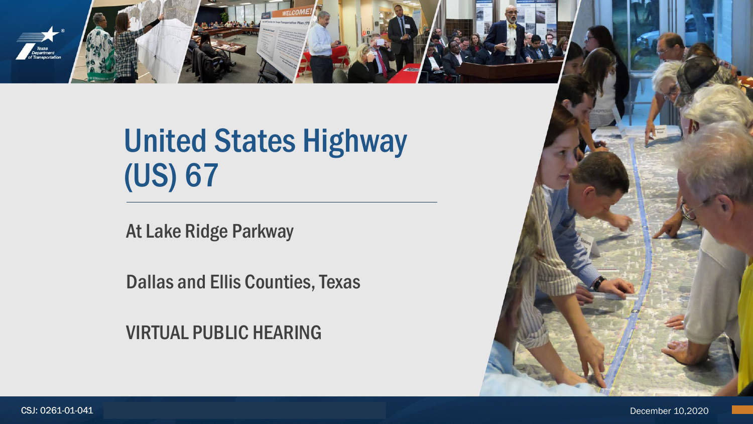

# United States Highway (US) 67

At Lake Ridge Parkway

Dallas and Ellis Counties, Texas

VIRTUAL PUBLIC HEARING



CSJ: 0261-01-041 December 10,2020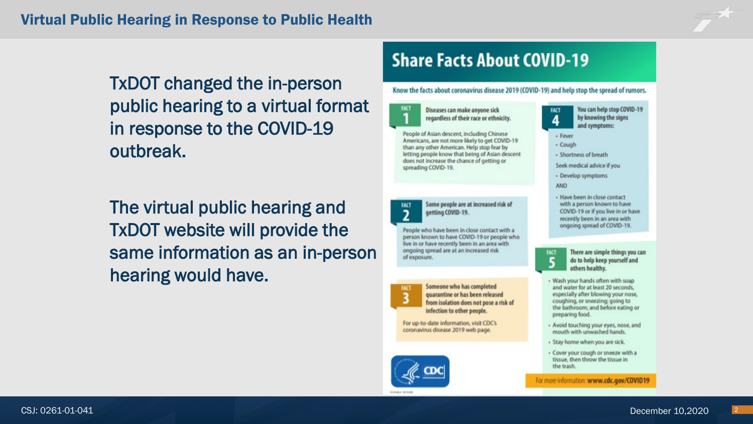TxDOT changed the in-person public hearing to a virtual format in response to the COVID-19 outbreak.

The virtual public hearing and TxDOT website will provide the same information as an in-person hearing would have.

### **Share Facts About COVID-19**

Know the facts about coronavirus disease 2019 (COVID-19) and help stop the spread of rumors.



**FACT**  $\overline{2}$ 

**FACT** 

of exposure.

Diseases can make anyone sick regardless of their race or ethnicity.

People of Asian descent, including Chinese Americans, are not more likely to get COVID-19 than any other American. Help stop fear by letting people know that being of Asian descent does not increase the chance of getting or spreading COVID-19.

Some people are at increased risk of

getting COVID-19.

People who have been in close contact with a person known to have COVID-19 or people who live in or have recently been in an area with ongoing spread are at an increased risk

Someone who has completed

infection to other people.

For up-to-date information, visit CDC's

coronavirus disease 2019 web page.

quarantine or has been released

from isolation does not pose a risk of

You can help stop COVID-19 **FACT** by knowing the signs

- and symptoms: - Fever
- Cough
- Shortness of breath
- Seek medical advice if you
- Develop symptoms
- **AND**
- Have been in close contact with a person known to have COVID-19 or if you live in or have recently been in an area with ongoing spread of COVID-19.



Wash your hands often with soap and water for at least 20 seconds, especially after blowing your nose, coughing, or sneezing; going to the bathroom; and before eating or preparing food.

- Avoid touching your eyes, nose, and mouth with unwashed hands.
- Stay home when you are sick.
- Cover your cough or sneeze with a tissue, then throw the tissue in the trash.

For more information: www.cdc.gov/COVID19

There are simple things you can

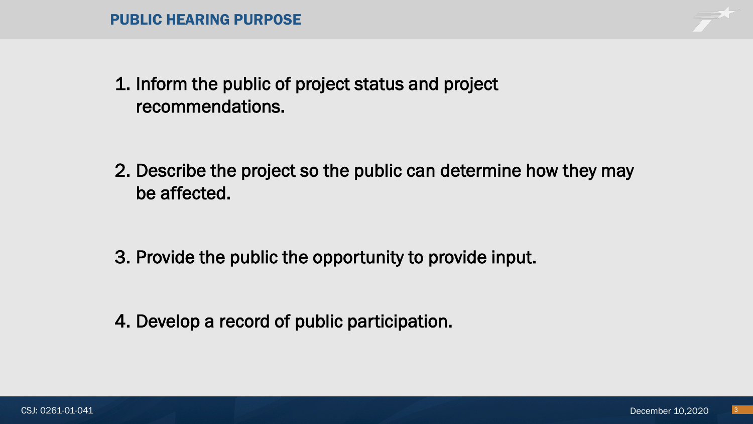1. Inform the public of project status and project recommendations.

2. Describe the project so the public can determine how they may be affected.

3. Provide the public the opportunity to provide input.

4. Develop a record of public participation.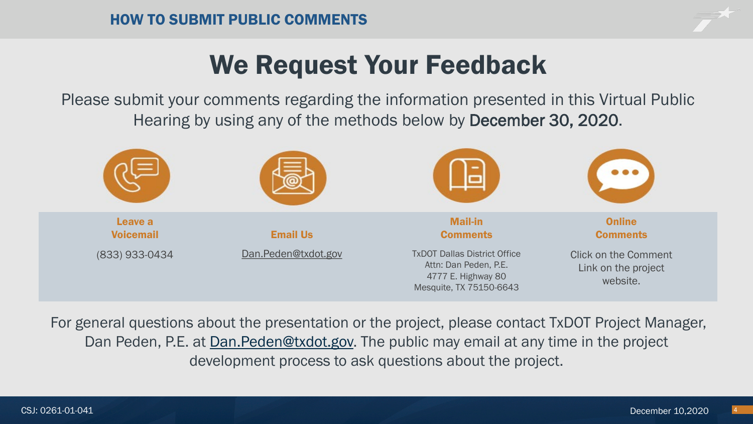# We Request Your Feedback

Please submit your comments regarding the information presented in this Virtual Public Hearing by using any of the methods below by December 30, 2020.



For general questions about the presentation or the project, please contact TxDOT Project Manager, Dan Peden, P.E. at [Dan.Peden@txdot.gov.](mailto:Nelson.Underwood@txdot.gov) The public may email at any time in the project development process to ask questions about the project.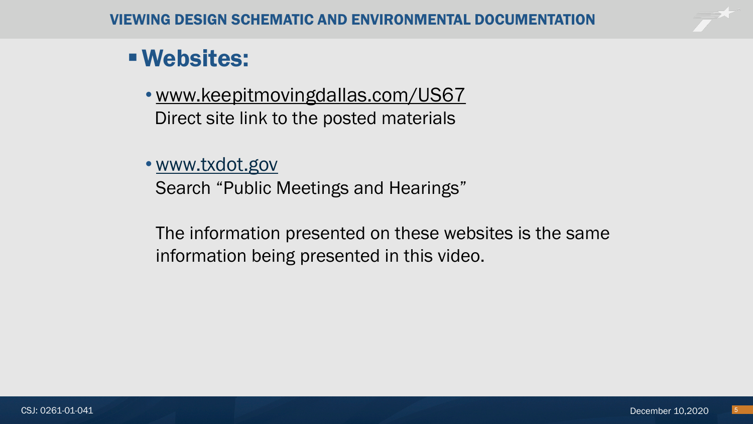## Websites:

• [www.keepitmovingdallas.com/US67](http://www.keepitmovingdallas.com/) Direct site link to the posted materials

### • [www.txdot.gov](http://www.txdot.gov/)

Search "Public Meetings and Hearings"

The information presented on these websites is the same information being presented in this video.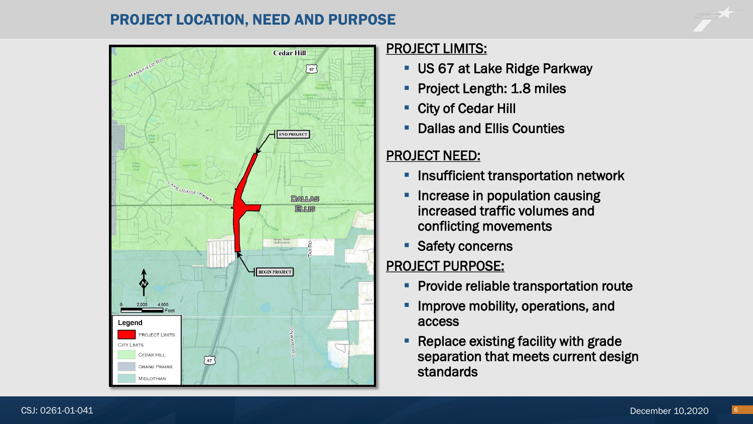#### PROJECT LOCATION, NEED AND PURPOSE



#### PROJECT LIMITS:

- **US 67 at Lake Ridge Parkway**
- **Project Length: 1.8 miles**
- City of Cedar Hill
- **Dallas and Ellis Counties**

#### PROJECT NEED:

- **Insufficient transportation network**
- **Increase in population causing** increased traffic volumes and conflicting movements
- **Safety concerns**

### PROJECT PURPOSE:

- **Provide reliable transportation route**
- Improve mobility, operations, and access
- Replace existing facility with grade separation that meets current design standards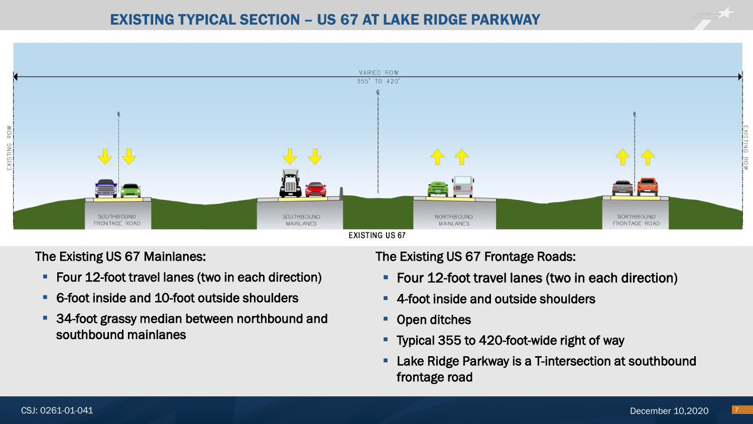

The Existing US 67 Mainlanes:

- **Figure 12-foot travel lanes (two in each direction)**
- 6-foot inside and 10-foot outside shoulders
- **34-foot grassy median between northbound and** southbound mainlanes

The Existing US 67 Frontage Roads:

- **Figure 12-foot travel lanes (two in each direction)**
- 4-foot inside and outside shoulders
- Open ditches
- **Typical 355 to 420-foot-wide right of way**
- **-** Lake Ridge Parkway is a T-intersection at southbound frontage road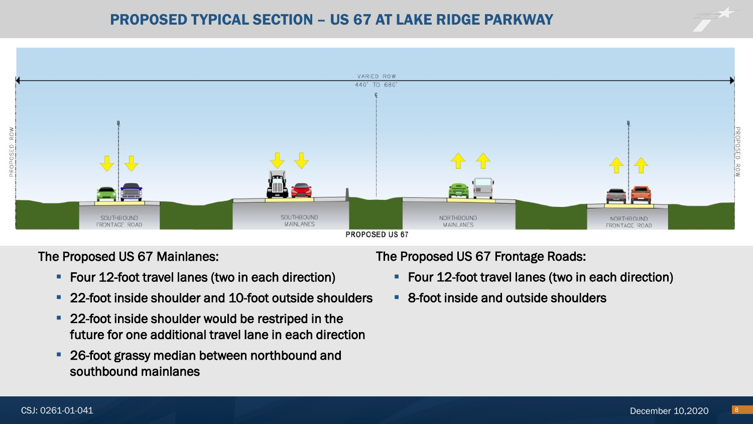

The Proposed US 67 Mainlanes:

- Four 12-foot travel lanes (two in each direction)
- 22-foot inside shoulder and 10-foot outside shoulders
- **22-foot inside shoulder would be restriped in the** future for one additional travel lane in each direction
- **26-foot grassy median between northbound and** southbound mainlanes

The Proposed US 67 Frontage Roads:

- **Figure 12-foot travel lanes (two in each direction)**
- 8-foot inside and outside shoulders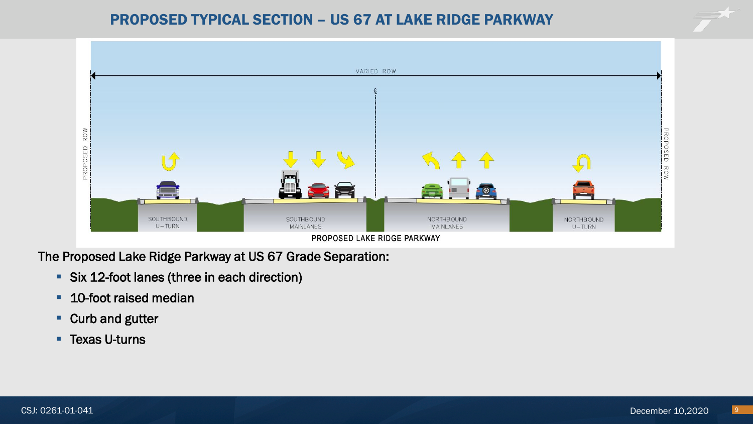#### PROPOSED TYPICAL SECTION – US 67 AT LAKE RIDGE PARKWAY



The Proposed Lake Ridge Parkway at US 67 Grade Separation:

- **Six 12-foot lanes (three in each direction)**
- **10-foot raised median**
- Curb and gutter
- **Texas U-turns**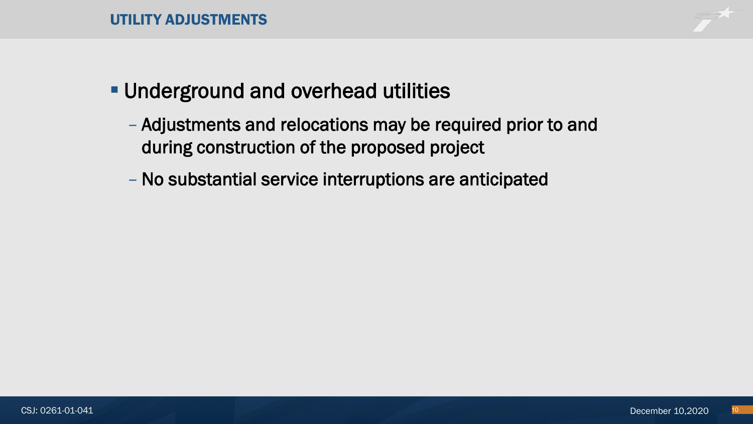

## **Underground and overhead utilities**

- Adjustments and relocations may be required prior to and during construction of the proposed project
- No substantial service interruptions are anticipated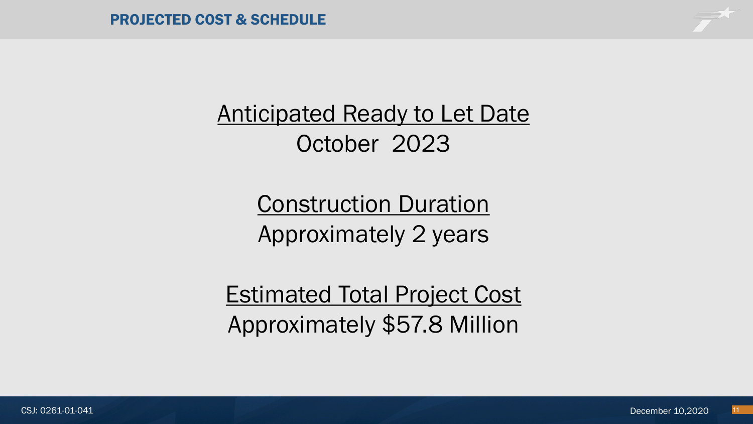

**Anticipated Ready to Let Date** October 2023

> Construction Duration Approximately 2 years

Estimated Total Project Cost Approximately \$57.8 Million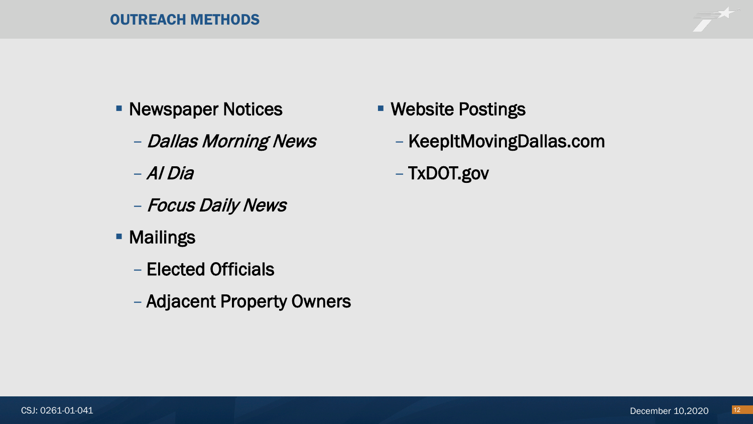#### OUTREACH METHODS

- **Newspaper Notices** 
	- Dallas Morning News

– Al Dia

- Focus Daily News
- **Mailings** 
	- Elected Officials
	- Adjacent Property Owners
- Website Postings
	- KeepItMovingDallas.com
	- TxDOT.gov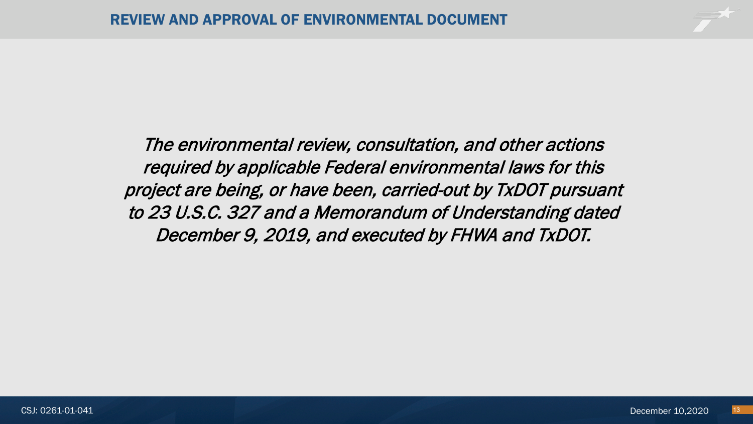The environmental review, consultation, and other actions required by applicable Federal environmental laws for this project are being, or have been, carried-out by TxDOT pursuant to 23 U.S.C. 327 and a Memorandum of Understanding dated December 9, 2019, and executed by FHWA and TxDOT.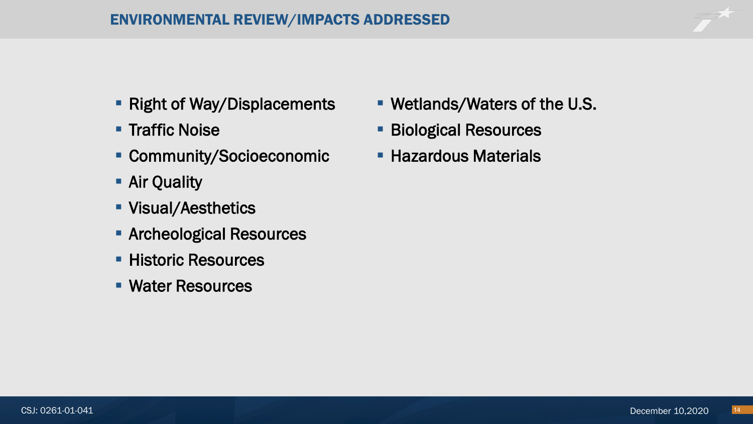- **Right of Way/Displacements**
- **Traffic Noise**
- Community/Socioeconomic
- **Air Quality**
- **Visual/Aesthetics**
- **Archeological Resources**
- **Historic Resources**
- Water Resources
- Wetlands/Waters of the U.S.
- **Biological Resources**
- **Hazardous Materials**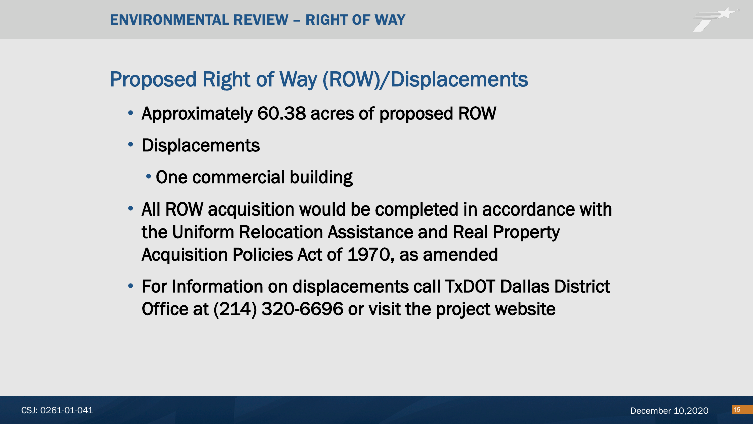## Proposed Right of Way (ROW)/Displacements

- Approximately 60.38 acres of proposed ROW
- Displacements
	- One commercial building
- All ROW acquisition would be completed in accordance with the Uniform Relocation Assistance and Real Property Acquisition Policies Act of 1970, as amended
- For Information on displacements call TxDOT Dallas District Office at (214) 320-6696 or visit the project website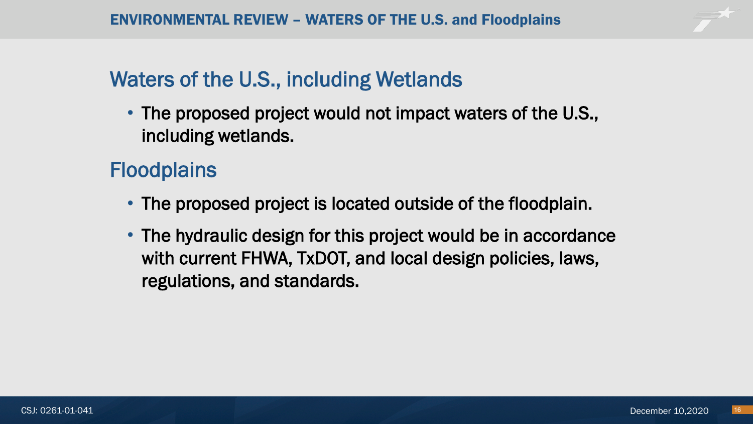## Waters of the U.S., including Wetlands

• The proposed project would not impact waters of the U.S., including wetlands.

## **Floodplains**

- The proposed project is located outside of the floodplain.
- The hydraulic design for this project would be in accordance with current FHWA, TxDOT, and local design policies, laws, regulations, and standards.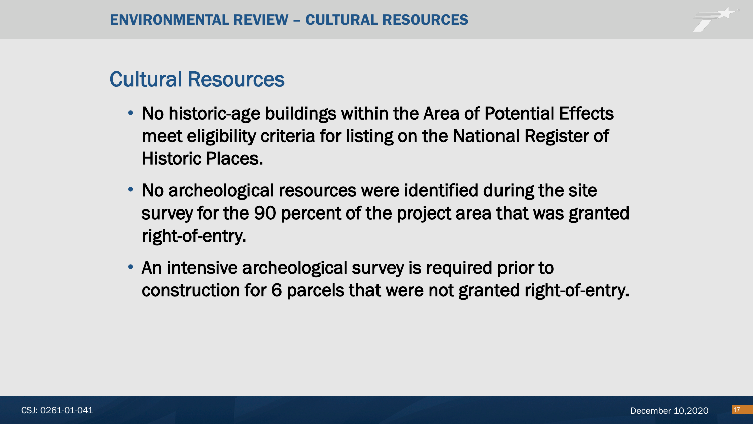## Cultural Resources

- No historic-age buildings within the Area of Potential Effects meet eligibility criteria for listing on the National Register of Historic Places.
- No archeological resources were identified during the site survey for the 90 percent of the project area that was granted right-of-entry.
- An intensive archeological survey is required prior to construction for 6 parcels that were not granted right-of-entry.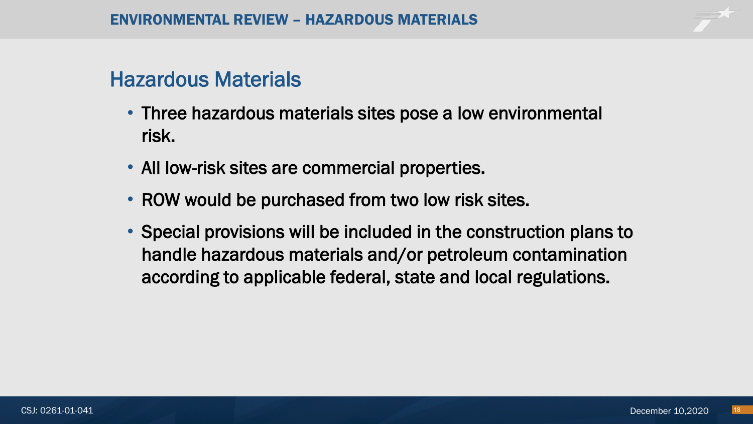## Hazardous Materials

- Three hazardous materials sites pose a low environmental risk.
- All low-risk sites are commercial properties.
- ROW would be purchased from two low risk sites.
- Special provisions will be included in the construction plans to handle hazardous materials and/or petroleum contamination according to applicable federal, state and local regulations.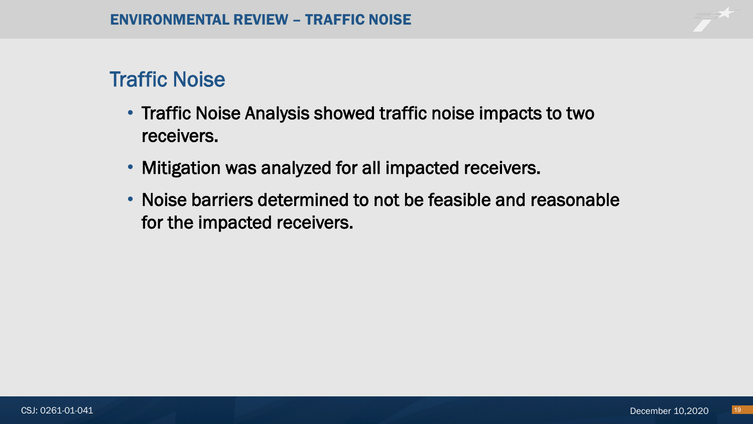## Traffic Noise

- Traffic Noise Analysis showed traffic noise impacts to two receivers.
- Mitigation was analyzed for all impacted receivers.
- Noise barriers determined to not be feasible and reasonable for the impacted receivers.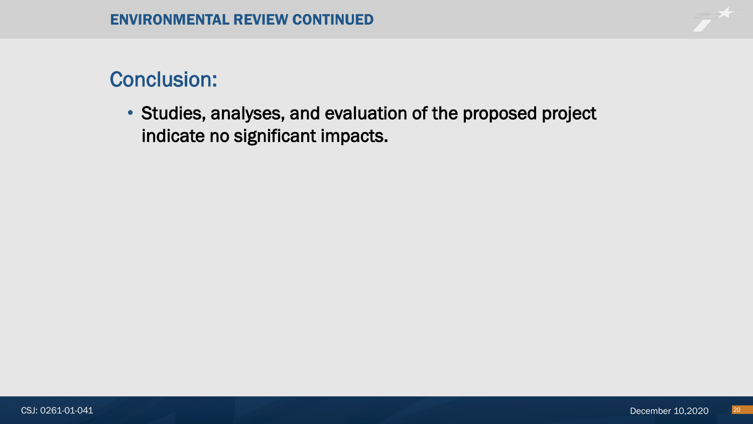## Conclusion:

• Studies, analyses, and evaluation of the proposed project indicate no significant impacts.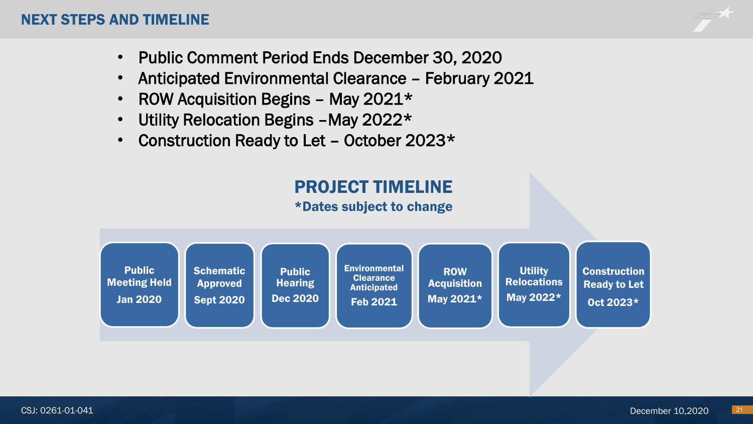#### NEXT STEPS AND TIMELINE

- Public Comment Period Ends December 30, 2020
- Anticipated Environmental Clearance February 2021
- ROW Acquisition Begins May 2021\*
- Utility Relocation Begins –May 2022\*
- Construction Ready to Let October 2023\*

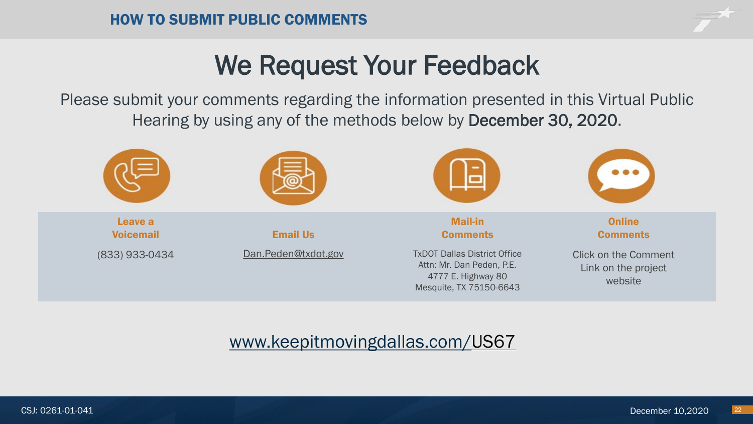# We Request Your Feedback

Please submit your comments regarding the information presented in this Virtual Public Hearing by using any of the methods below by December 30, 2020.



### [www.keepitmovingdallas.com/](https://urldefense.proofpoint.com/v2/url?u=http-3A__www.keepitmovingdallas.com_SL288&d=DwQFAg&c=euGZstcaTDllvimEN8b7jXrwqOf-v5A_CdpgnVfiiMM&r=UOEffYR8ogz21vnecV67tQ&m=XZqJd5YYIzRBzEO5_9d7OvJGPfd7J2Etpclviqn5uZg&s=9KGgb0YId3YaOekKl4-68SDFxj8xuq41xpX2uDiT310&e=)US67